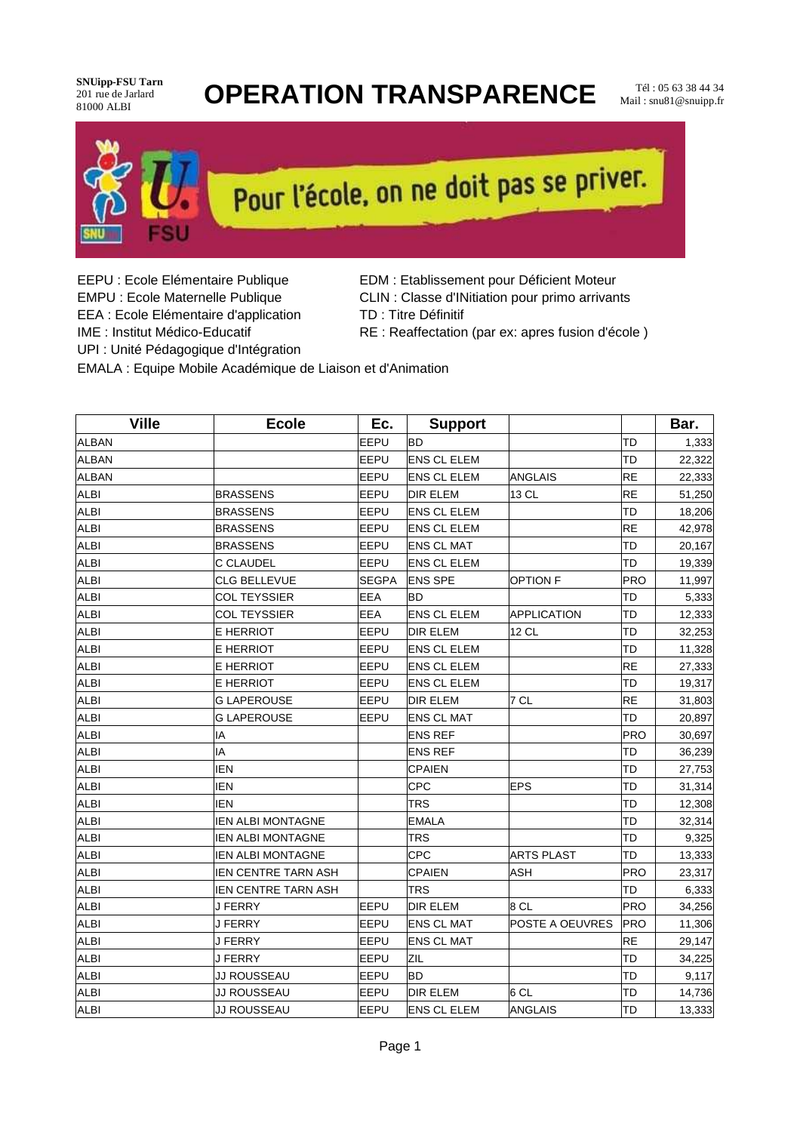#### **SNUipp-FSU Tarn** 201 rue de Jarlard<br>81000 ALBI

#### **OPERATION TRANSPARENCE** Mail: Snu81 @snuinn fr

Mail : snu81@snuipp.fr



# Pour l'école, on ne doit pas se priver.

- EEA : Ecole Elémentaire d'application
- EEPU : Ecole Elémentaire Publique **EDM** : Etablissement pour Déficient Moteur
- EMPU : Ecole Maternelle Publique CLIN : Classe d'INitiation pour primo arrivants
	- TD : Titre Définitif
- IME : Institut Médico-Educatif RE : Reaffectation (par ex: apres fusion d'école )

UPI : Unité Pédagogique d'Intégration

EMALA : Equipe Mobile Académique de Liaison et d'Animation

| <b>Ville</b> | <b>Ecole</b>               | Ec.          | <b>Support</b>     |                    |            | Bar.   |
|--------------|----------------------------|--------------|--------------------|--------------------|------------|--------|
| <b>ALBAN</b> |                            | EEPU         | <b>BD</b>          |                    | TD         | 1,333  |
| <b>ALBAN</b> |                            | EEPU         | <b>ENS CL ELEM</b> |                    | TD         | 22,322 |
| <b>ALBAN</b> |                            | EEPU         | <b>ENS CL ELEM</b> | ANGLAIS            | RE         | 22,333 |
| <b>ALBI</b>  | <b>BRASSENS</b>            | EEPU         | <b>DIR ELEM</b>    | 13 CL              | RE         | 51,250 |
| <b>ALBI</b>  | <b>BRASSENS</b>            | EEPU         | <b>ENS CL ELEM</b> |                    | TD         | 18,206 |
| <b>ALBI</b>  | <b>BRASSENS</b>            | EEPU         | <b>ENS CL ELEM</b> |                    | RE         | 42,978 |
| <b>ALBI</b>  | <b>BRASSENS</b>            | EEPU         | <b>ENS CL MAT</b>  |                    | TD         | 20,167 |
| <b>ALBI</b>  | <b>C CLAUDEL</b>           | EEPU         | <b>ENS CL ELEM</b> |                    | TD         | 19,339 |
| <b>ALBI</b>  | CLG BELLEVUE               | <b>SEGPA</b> | <b>ENS SPE</b>     | <b>OPTION F</b>    | <b>PRO</b> | 11,997 |
| <b>ALBI</b>  | <b>COL TEYSSIER</b>        | <b>EEA</b>   | <b>BD</b>          |                    | TD         | 5,333  |
| <b>ALBI</b>  | <b>COL TEYSSIER</b>        | <b>EEA</b>   | <b>ENS CL ELEM</b> | <b>APPLICATION</b> | TD         | 12,333 |
| <b>ALBI</b>  | E HERRIOT                  | EEPU         | <b>DIR ELEM</b>    | 12 CL              | TD         | 32,253 |
| <b>ALBI</b>  | E HERRIOT                  | EEPU         | <b>ENS CL ELEM</b> |                    | TD         | 11,328 |
| <b>ALBI</b>  | E HERRIOT                  | EEPU         | <b>ENS CL ELEM</b> |                    | RE         | 27,333 |
| <b>ALBI</b>  | E HERRIOT                  | EEPU         | <b>ENS CL ELEM</b> |                    | TD         | 19,317 |
| <b>ALBI</b>  | <b>G LAPEROUSE</b>         | EEPU         | <b>DIR ELEM</b>    | 7 CL               | RE         | 31,803 |
| <b>ALBI</b>  | <b>G LAPEROUSE</b>         | EEPU         | <b>ENS CL MAT</b>  |                    | TD         | 20,897 |
| <b>ALBI</b>  | İΙA                        |              | <b>ENS REF</b>     |                    | PRO        | 30,697 |
| <b>ALBI</b>  | İΙA                        |              | <b>ENS REF</b>     |                    | TD         | 36,239 |
| <b>ALBI</b>  | IEN                        |              | <b>CPAIEN</b>      |                    | TD         | 27,753 |
| <b>ALBI</b>  | <b>IEN</b>                 |              | <b>CPC</b>         | <b>EPS</b>         | TD         | 31,314 |
| <b>ALBI</b>  | IEN                        |              | <b>TRS</b>         |                    | TD         | 12,308 |
| <b>ALBI</b>  | <b>IEN ALBI MONTAGNE</b>   |              | <b>EMALA</b>       |                    | TD         | 32,314 |
| <b>ALBI</b>  | <b>IEN ALBI MONTAGNE</b>   |              | <b>TRS</b>         |                    | TD         | 9,325  |
| <b>ALBI</b>  | <b>IEN ALBI MONTAGNE</b>   |              | <b>CPC</b>         | <b>ARTS PLAST</b>  | TD         | 13,333 |
| <b>ALBI</b>  | <b>IEN CENTRE TARN ASH</b> |              | <b>CPAIEN</b>      | <b>ASH</b>         | <b>PRO</b> | 23,317 |
| <b>ALBI</b>  | <b>IEN CENTRE TARN ASH</b> |              | <b>TRS</b>         |                    | TD         | 6,333  |
| <b>ALBI</b>  | <b>J FERRY</b>             | EEPU         | <b>DIR ELEM</b>    | 8 CL               | PRO        | 34,256 |
| <b>ALBI</b>  | <b>J FERRY</b>             | EEPU         | <b>ENS CL MAT</b>  | POSTE A OEUVRES    | PRO        | 11,306 |
| <b>ALBI</b>  | <b>J FERRY</b>             | EEPU         | <b>ENS CL MAT</b>  |                    | RE         | 29,147 |
| <b>ALBI</b>  | <b>J FERRY</b>             | <b>EEPU</b>  | ZIL                |                    | TD         | 34,225 |
| <b>ALBI</b>  | JJ ROUSSEAU                | EEPU         | <b>BD</b>          |                    | TD         | 9,117  |
| <b>ALBI</b>  | JJ ROUSSEAU                | EEPU         | <b>DIR ELEM</b>    | l6 CL              | TD         | 14,736 |
| <b>ALBI</b>  | JJ ROUSSEAU                | EEPU         | <b>ENS CL ELEM</b> | ANGLAIS            | TD         | 13,333 |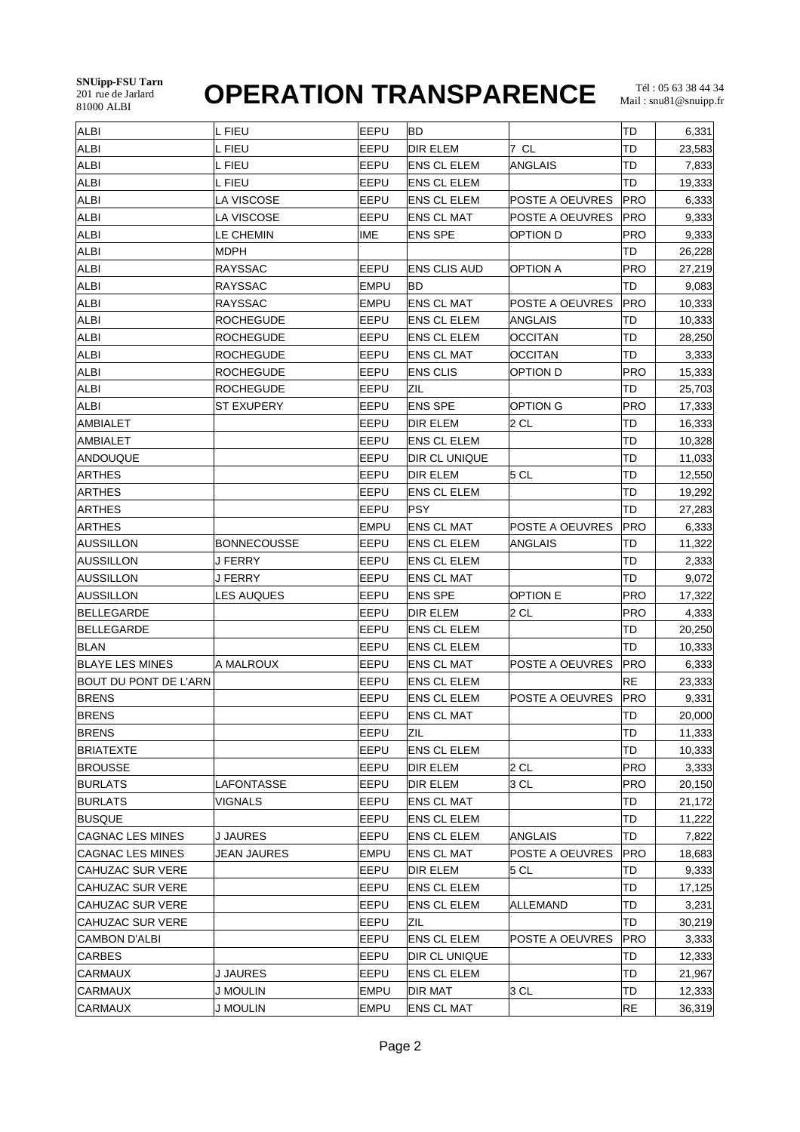#### **SNUipp-FSU Tarn** 201 rue de Jarlard

## **OPERATION TRANSPARENCE**

| <b>ALBI</b>             | L FIEU             | EEPU        | BD                 |                 | TD         | 6,331  |
|-------------------------|--------------------|-------------|--------------------|-----------------|------------|--------|
| <b>ALBI</b>             | L FIEU             | EEPU        | <b>DIR ELEM</b>    | 7 CL            | TD         | 23,583 |
| <b>ALBI</b>             | L FIEU             | EEPU        | ENS CL ELEM        | ANGLAIS         | TD         | 7,833  |
| <b>ALBI</b>             | L FIEU             | EEPU        | ENS CL ELEM        |                 | TD         | 19,333 |
| <b>ALBI</b>             | LA VISCOSE         | EEPU        | <b>ENS CL ELEM</b> | POSTE A OEUVRES | PRO        | 6,333  |
| <b>ALBI</b>             | LA VISCOSE         | EEPU        | <b>ENS CL MAT</b>  | POSTE A OEUVRES | PRO        | 9,333  |
| <b>ALBI</b>             | LE CHEMIN          | <b>IME</b>  | <b>ENS SPE</b>     | option d        | PRO        | 9,333  |
| <b>ALBI</b>             | <b>MDPH</b>        |             |                    |                 | TD         | 26,228 |
| <b>ALBI</b>             | <b>RAYSSAC</b>     | EEPU        | IENS CLIS AUD      | <b>OPTION A</b> | <b>PRO</b> | 27,219 |
| <b>ALBI</b>             | <b>RAYSSAC</b>     | <b>EMPU</b> | BD                 |                 | TD         | 9,083  |
| ALBI                    | <b>RAYSSAC</b>     | <b>EMPU</b> | ENS CL MAT         | POSTE A OEUVRES | PRO        | 10,333 |
| <b>ALBI</b>             | <b>ROCHEGUDE</b>   | EEPU        | ENS CL ELEM        | ANGLAIS         | TD         | 10,333 |
| <b>ALBI</b>             | <b>ROCHEGUDE</b>   | EEPU        | <b>ENS CL ELEM</b> | <b>OCCITAN</b>  | TD         | 28,250 |
| <b>ALBI</b>             | <b>ROCHEGUDE</b>   | EEPU        | ENS CL MAT         | <b>OCCITAN</b>  | TD         | 3,333  |
| ALBI                    | <b>ROCHEGUDE</b>   | EEPU        | <b>ENS CLIS</b>    | <b>OPTION D</b> | <b>PRO</b> | 15,333 |
| <b>ALBI</b>             | <b>ROCHEGUDE</b>   | EEPU        | ZIL.               |                 | TD         | 25,703 |
| <b>ALBI</b>             | <b>ST EXUPERY</b>  | EEPU        | ENS SPE            | OPTION G        | PRO        | 17,333 |
| <b>AMBIALET</b>         |                    | EEPU        | <b>DIR ELEM</b>    | 2 CL            | TD         | 16,333 |
| <b>AMBIALET</b>         |                    | EEPU        | <b>ENS CL ELEM</b> |                 | TD         | 10,328 |
| ANDOUQUE                |                    | EEPU        | DIR CL UNIQUE      |                 | TD         | 11,033 |
| <b>ARTHES</b>           |                    | EEPU        | DIR ELEM           | 5 CL            | TD         | 12,550 |
| <b>ARTHES</b>           |                    | EEPU        | <b>ENS CL ELEM</b> |                 | TD         | 19,292 |
| <b>ARTHES</b>           |                    | EEPU        | PSY                |                 | TD         | 27,283 |
| <b>ARTHES</b>           |                    | <b>EMPU</b> | <b>ENS CL MAT</b>  | POSTE A OEUVRES | PRO        | 6,333  |
| <b>AUSSILLON</b>        | <b>BONNECOUSSE</b> | EEPU        | ENS CL ELEM        | <b>ANGLAIS</b>  | TD         | 11,322 |
| AUSSILLON               | J FERRY            | EEPU        | ENS CL ELEM        |                 | TD         | 2,333  |
| AUSSILLON               | J FERRY            | EEPU        | ENS CL MAT         |                 | TD         | 9,072  |
| <b>AUSSILLON</b>        | <b>LES AUQUES</b>  | EEPU        | <b>ENS SPE</b>     | <b>OPTION E</b> | <b>PRO</b> | 17,322 |
| BELLEGARDE              |                    | EEPU        | DIR ELEM           | $2$ CL          | PRO        | 4,333  |
| BELLEGARDE              |                    | EEPU        | ENS CL ELEM        |                 | TD         | 20,250 |
| <b>BLAN</b>             |                    | EEPU        | <b>ENS CL ELEM</b> |                 | TD         | 10,333 |
| <b>BLAYE LES MINES</b>  | A MALROUX          | EEPU        | <b>ENS CL MAT</b>  | POSTE A OEUVRES | PRO        | 6,333  |
| BOUT DU PONT DE L'ARN   |                    | EEPU        | ENS CL ELEM        |                 | RE         | 23,333 |
| <b>BRENS</b>            |                    | EEPU        | <b>ENS CL ELEM</b> | POSTE A OEUVRES | PRO        | 9,331  |
| <b>BRENS</b>            |                    | EEPU        | <b>ENS CL MAT</b>  |                 | TD         | 20,000 |
| <b>BRENS</b>            |                    | EEPU        | ZIL                |                 | TD         | 11,333 |
| <b>BRIATEXTE</b>        |                    | EEPU        | <b>ENS CL ELEM</b> |                 | TD         | 10,333 |
| <b>BROUSSE</b>          |                    | EEPU        | <b>DIR ELEM</b>    | $2$ CL          | PRO        | 3,333  |
| <b>BURLATS</b>          | LAFONTASSE         | EEPU        | <b>DIR ELEM</b>    | 3 CL            | PRO        | 20,150 |
| <b>BURLATS</b>          | VIGNALS            | EEPU        | <b>ENS CL MAT</b>  |                 | TD         | 21,172 |
| <b>BUSQUE</b>           |                    | EEPU        | <b>ENS CL ELEM</b> |                 | TD         | 11,222 |
| <b>CAGNAC LES MINES</b> | <b>J JAURES</b>    | EEPU        | <b>ENS CL ELEM</b> | <b>ANGLAIS</b>  | TD         | 7,822  |
| <b>CAGNAC LES MINES</b> | <b>JEAN JAURES</b> | <b>EMPU</b> | <b>ENS CL MAT</b>  | POSTE A OEUVRES | PRO        | 18,683 |
| <b>CAHUZAC SUR VERE</b> |                    | EEPU        | DIR ELEM           | 5 CL            | TD         | 9,333  |
| <b>CAHUZAC SUR VERE</b> |                    | EEPU        | <b>ENS CL ELEM</b> |                 | TD         | 17,125 |
| <b>CAHUZAC SUR VERE</b> |                    | EEPU        | <b>ENS CL ELEM</b> | <b>ALLEMAND</b> | TD         | 3,231  |
| <b>CAHUZAC SUR VERE</b> |                    | EEPU        | <b>ZIL</b>         |                 | TD         | 30,219 |
| CAMBON D'ALBI           |                    | EEPU        | <b>ENS CL ELEM</b> | POSTE A OEUVRES | PRO        | 3,333  |
| <b>CARBES</b>           |                    | EEPU        | DIR CL UNIQUE      |                 | TD         | 12,333 |
| <b>CARMAUX</b>          | <b>J JAURES</b>    | EEPU        | <b>ENS CL ELEM</b> |                 | TD         | 21,967 |
| <b>CARMAUX</b>          | <b>J MOULIN</b>    | <b>EMPU</b> | <b>DIR MAT</b>     | 3 CL            | TD         | 12,333 |
| CARMAUX                 | <b>J MOULIN</b>    | <b>EMPU</b> | <b>ENS CL MAT</b>  |                 | RE         | 36,319 |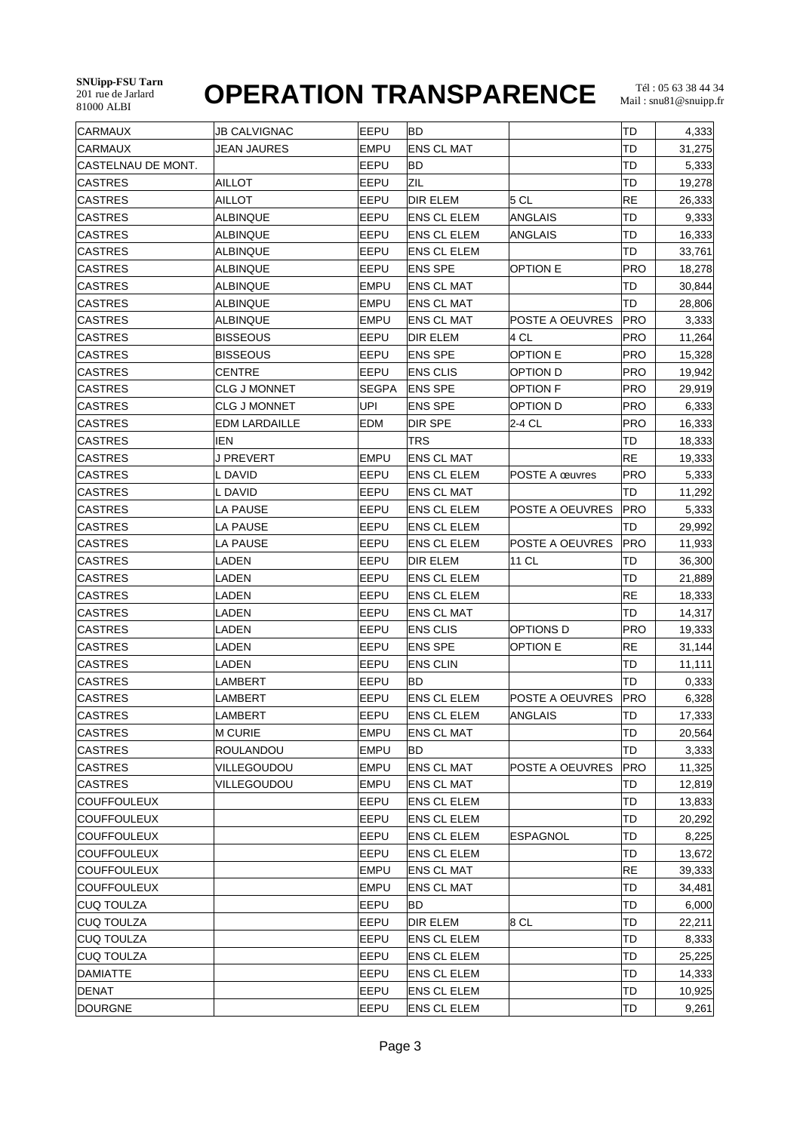| <b>CARMAUX</b>     | <b>JB CALVIGNAC</b>  | EEPU         | BD                 |                 | TD         | 4,333  |
|--------------------|----------------------|--------------|--------------------|-----------------|------------|--------|
| <b>CARMAUX</b>     | JEAN JAURES          | <b>EMPU</b>  | <b>ENS CL MAT</b>  |                 | TD         | 31,275 |
| CASTELNAU DE MONT. |                      | EEPU         | <b>BD</b>          |                 | TD         | 5,333  |
| <b>CASTRES</b>     | <b>AILLOT</b>        | EEPU         | ZIL                |                 | TD         | 19,278 |
| <b>CASTRES</b>     | <b>AILLOT</b>        | EEPU         | <b>DIR ELEM</b>    | 5 <sub>CL</sub> | RE         | 26,333 |
| <b>CASTRES</b>     | ALBINQUE             | EEPU         | <b>ENS CL ELEM</b> | ANGLAIS         | TD         | 9,333  |
| <b>CASTRES</b>     | ALBINQUE             | EEPU         | <b>ENS CL ELEM</b> | ANGLAIS         | TD         | 16,333 |
| <b>CASTRES</b>     | ALBINQUE             | EEPU         | <b>ENS CL ELEM</b> |                 | TD         | 33,761 |
| <b>CASTRES</b>     | <b>ALBINQUE</b>      | EEPU         | <b>ENS SPE</b>     | OPTION E        | PRO        | 18,278 |
| <b>CASTRES</b>     | <b>ALBINQUE</b>      | EMPU         | <b>ENS CL MAT</b>  |                 | TD         | 30,844 |
| <b>CASTRES</b>     | <b>ALBINQUE</b>      | <b>EMPU</b>  | <b>ENS CL MAT</b>  |                 | TD         | 28,806 |
| CASTRES            | ALBINQUE             | <b>EMPU</b>  | ENS CL MAT         | POSTE A OEUVRES | PRO        | 3,333  |
| <b>CASTRES</b>     | <b>BISSEOUS</b>      | EEPU         | DIR ELEM           | 4 CL            | PRO        | 11,264 |
| CASTRES            | <b>BISSEOUS</b>      | EEPU         | <b>ENS SPE</b>     | <b>OPTION E</b> | PRO        | 15,328 |
| <b>CASTRES</b>     | CENTRE               | EEPU         | <b>ENS CLIS</b>    | OPTION D        | PRO        | 19,942 |
| <b>CASTRES</b>     | <b>CLG J MONNET</b>  | <b>SEGPA</b> | <b>ENS SPE</b>     | <b>OPTION F</b> | PRO        | 29,919 |
| <b>CASTRES</b>     | <b>CLG J MONNET</b>  | UPI          | <b>ENS SPE</b>     | OPTION D        | PRO        | 6,333  |
| <b>CASTRES</b>     | <b>EDM LARDAILLE</b> | <b>EDM</b>   | DIR SPE            | 2-4 CL          | PRO        | 16,333 |
| <b>CASTRES</b>     | IEN                  |              | TRS                |                 | TD         | 18,333 |
| CASTRES            | J PREVERT            | <b>EMPU</b>  | <b>ENS CL MAT</b>  |                 | RE         | 19,333 |
| <b>CASTRES</b>     | L DAVID              | EEPU         | <b>ENS CL ELEM</b> | POSTE A œuvres  | <b>PRO</b> | 5,333  |
| <b>CASTRES</b>     | L DAVID              | EEPU         | <b>ENS CL MAT</b>  |                 | TD         | 11,292 |
| <b>CASTRES</b>     | LA PAUSE             | EEPU         | <b>ENS CL ELEM</b> | POSTE A OEUVRES | PRO        | 5,333  |
| <b>CASTRES</b>     | LA PAUSE             | EEPU         | <b>ENS CL ELEM</b> |                 | TD         | 29,992 |
| <b>CASTRES</b>     | LA PAUSE             | EEPU         | <b>ENS CL ELEM</b> | POSTE A OEUVRES | PRO        | 11,933 |
| <b>CASTRES</b>     | LADEN                | EEPU         | DIR ELEM           | 11 CL           | TD         | 36,300 |
| <b>CASTRES</b>     | LADEN                | EEPU         | <b>ENS CL ELEM</b> |                 | TD         | 21,889 |
| <b>CASTRES</b>     | LADEN                | EEPU         | <b>ENS CL ELEM</b> |                 | RE         | 18,333 |
| CASTRES            | LADEN                | EEPU         | <b>ENS CL MAT</b>  |                 | TD         | 14,317 |
| <b>CASTRES</b>     | LADEN                | EEPU         | <b>ENS CLIS</b>    | OPTIONS D       | PRO        | 19,333 |
| <b>CASTRES</b>     | LADEN                | EEPU         | <b>ENS SPE</b>     | <b>OPTION E</b> | RE         | 31,144 |
| <b>CASTRES</b>     | LADEN                | EEPU         | <b>ENS CLIN</b>    |                 | TD         | 11,111 |
| <b>CASTRES</b>     | LAMBERT              | EEPU         | BD                 |                 | TD         | 0,333  |
| <b>CASTRES</b>     | LAMBERT              | EEPU         | <b>ENS CL ELEM</b> | POSTE A OEUVRES | PRO        | 6,328  |
| <b>CASTRES</b>     | LAMBERT              | EEPU         | <b>ENS CL ELEM</b> | ANGLAIS         | TD         | 17,333 |
| <b>CASTRES</b>     | <b>M CURIE</b>       | <b>EMPU</b>  | <b>ENS CL MAT</b>  |                 | TD         | 20,564 |
| CASTRES            | <b>ROULANDOU</b>     | <b>EMPU</b>  | BD                 |                 | TD         | 3,333  |
| CASTRES            | VILLEGOUDOU          | <b>EMPU</b>  | <b>ENS CL MAT</b>  | POSTE A OEUVRES | PRO        | 11,325 |
| <b>CASTRES</b>     | VILLEGOUDOU          | <b>EMPU</b>  | <b>ENS CL MAT</b>  |                 | TD         | 12,819 |
| <b>COUFFOULEUX</b> |                      | EEPU         | <b>ENS CL ELEM</b> |                 | TD         | 13,833 |
| <b>COUFFOULEUX</b> |                      | EEPU         | <b>ENS CL ELEM</b> |                 | TD         | 20,292 |
| <b>COUFFOULEUX</b> |                      | EEPU         | <b>ENS CL ELEM</b> | <b>ESPAGNOL</b> | TD         | 8,225  |
| <b>COUFFOULEUX</b> |                      | EEPU         | <b>ENS CL ELEM</b> |                 | TD         | 13,672 |
| <b>COUFFOULEUX</b> |                      | <b>EMPU</b>  | <b>ENS CL MAT</b>  |                 | RE         | 39,333 |
| <b>COUFFOULEUX</b> |                      | <b>EMPU</b>  | <b>ENS CL MAT</b>  |                 | TD         | 34,481 |
| <b>CUQ TOULZA</b>  |                      | EEPU         | BD                 |                 | TD         | 6,000  |
| <b>CUQ TOULZA</b>  |                      | EEPU         | DIR ELEM           | 8 CL            | TD         | 22,211 |
| <b>CUQ TOULZA</b>  |                      | EEPU         | <b>ENS CL ELEM</b> |                 | TD         | 8,333  |
| <b>CUQ TOULZA</b>  |                      | EEPU         | <b>ENS CL ELEM</b> |                 | TD         | 25,225 |
| <b>DAMIATTE</b>    |                      | EEPU         | <b>ENS CL ELEM</b> |                 | TD         | 14,333 |
| DENAT              |                      | EEPU         | <b>ENS CL ELEM</b> |                 | TD         | 10,925 |
| DOURGNE            |                      | EEPU         | <b>ENS CL ELEM</b> |                 | TD         | 9,261  |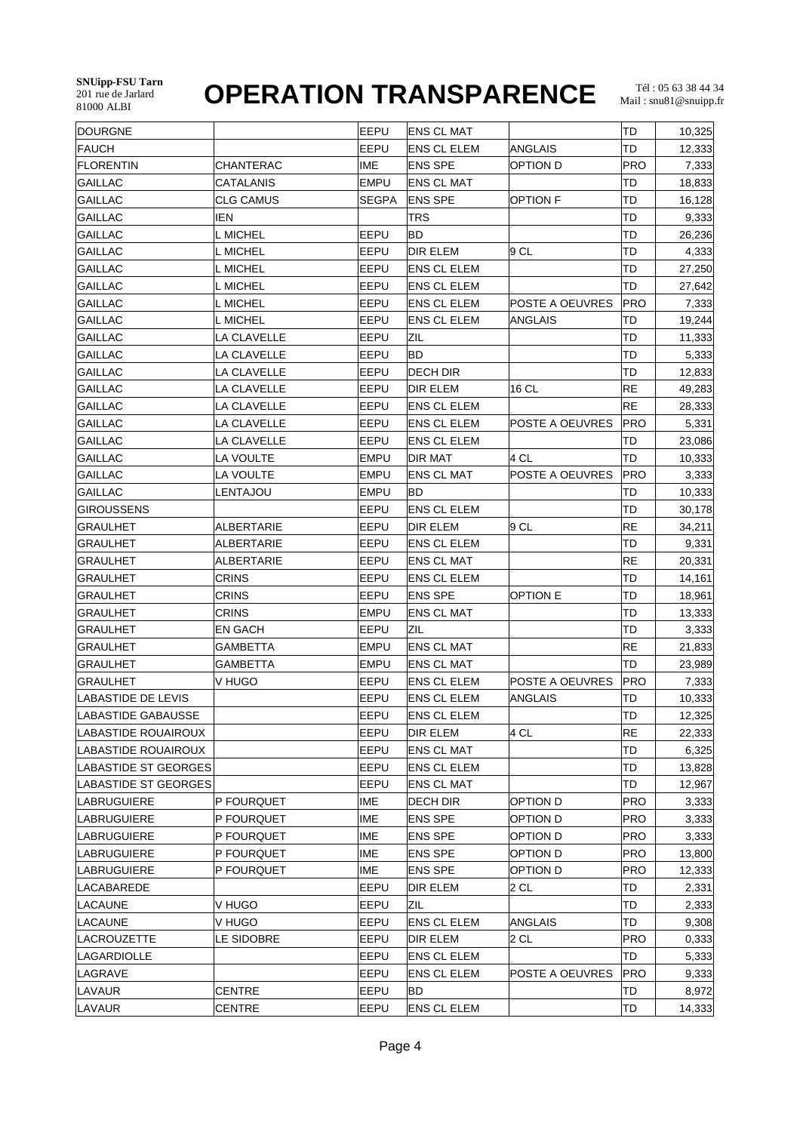| <b>DOURGNE</b>              |                    | EEPU        | <b>ENS CL MAT</b>  |                 | TD        | 10,325         |
|-----------------------------|--------------------|-------------|--------------------|-----------------|-----------|----------------|
| FAUCH                       |                    | EEPU        | <b>ENS CL ELEM</b> | ANGLAIS         | TD        | 12,333         |
| FLORENTIN                   | <b>CHANTERAC</b>   | <b>IME</b>  | <b>ENS SPE</b>     | OPTION D        | PRO       | 7,333          |
| <b>GAILLAC</b>              | CATALANIS          | <b>EMPU</b> | <b>ENS CL MAT</b>  |                 | TD        | 18,833         |
| <b>GAILLAC</b>              | <b>CLG CAMUS</b>   | SEGPA       | <b>ENS SPE</b>     | <b>OPTION F</b> | TD        | 16,128         |
| <b>GAILLAC</b>              | <b>IEN</b>         |             | TRS                |                 | TD        | 9,333          |
| <b>GAILLAC</b>              | L MICHEL           | EEPU        | BD                 |                 | TD        | 26,236         |
| <b>GAILLAC</b>              | L MICHEL           | EEPU        | DIR ELEM           | 9 CL            | TD        | 4,333          |
| <b>GAILLAC</b>              | L MICHEL           | EEPU        | <b>ENS CL ELEM</b> |                 | TD        | 27,250         |
| <b>GAILLAC</b>              | L MICHEL           | EEPU        | <b>ENS CL ELEM</b> |                 | TD        | 27,642         |
| <b>GAILLAC</b>              | L MICHEL           | EEPU        | <b>ENS CL ELEM</b> | POSTE A OEUVRES | PRO       | 7,333          |
| <b>GAILLAC</b>              | L MICHEL           | EEPU        | <b>ENS CL ELEM</b> | ANGLAIS         | TD        | 19,244         |
| <b>GAILLAC</b>              | LA CLAVELLE        | EEPU        | ZIL                |                 | TD        | 11,333         |
| <b>GAILLAC</b>              | LA CLAVELLE        | EEPU        | BD                 |                 | TD        | 5,333          |
| <b>GAILLAC</b>              | LA CLAVELLE        | EEPU        | DECH DIR           |                 | TD        | 12,833         |
| <b>GAILLAC</b>              | LA CLAVELLE        | EEPU        | <b>DIR ELEM</b>    | 16 CL           | RE        | 49,283         |
| <b>GAILLAC</b>              | LA CLAVELLE        | EEPU        | <b>ENS CL ELEM</b> |                 | RE        | 28,333         |
| <b>GAILLAC</b>              | LA CLAVELLE        | EEPU        | <b>ENS CL ELEM</b> | POSTE A OEUVRES | PRO       | 5,331          |
| <b>GAILLAC</b>              | <b>LA CLAVELLE</b> | EEPU        | <b>ENS CL ELEM</b> |                 | TD        | 23,086         |
| <b>GAILLAC</b>              | LA VOULTE          | <b>EMPU</b> | <b>DIR MAT</b>     | 4 CL            | TD        | 10,333         |
| <b>GAILLAC</b>              | <b>LA VOULTE</b>   | <b>EMPU</b> | <b>ENS CL MAT</b>  | POSTE A OEUVRES | PRO       | 3,333          |
| <b>GAILLAC</b>              | LENTAJOU           | <b>EMPU</b> | BD                 |                 | TD        | 10,333         |
| <b>GIROUSSENS</b>           |                    | EEPU        | <b>ENS CL ELEM</b> |                 | TD        | 30,178         |
| <b>GRAULHET</b>             | ALBERTARIE         | EEPU        | DIR ELEM           | 9 CL            | <b>RE</b> | 34,211         |
| GRAULHET                    | ALBERTARIE         | EEPU        | <b>ENS CL ELEM</b> |                 | TD        | 9,331          |
| <b>GRAULHET</b>             | ALBERTARIE         | EEPU        | ENS CL MAT         |                 | RE        | 20,331         |
| <b>GRAULHET</b>             | <b>CRINS</b>       | EEPU        | <b>ENS CL ELEM</b> |                 | TD        | 14,161         |
| <b>GRAULHET</b>             | CRINS              | EEPU        | <b>ENS SPE</b>     | <b>OPTION E</b> | TD        | 18,961         |
| GRAULHET                    | <b>CRINS</b>       | <b>EMPU</b> | <b>ENS CL MAT</b>  |                 | TD        | 13,333         |
| <b>GRAULHET</b>             | <b>EN GACH</b>     | EEPU        | ZIL                |                 | TD        | 3,333          |
| <b>GRAULHET</b>             | <b>GAMBETTA</b>    | EMPU        | <b>ENS CL MAT</b>  |                 | RE        | 21,833         |
| <b>GRAULHET</b>             | <b>GAMBETTA</b>    | <b>EMPU</b> | <b>ENS CL MAT</b>  |                 | TD        | 23,989         |
| GRAULHET                    | V HUGO             | EEPU        | <b>ENS CL ELEM</b> | POSTE A OEUVRES | PRO       | 7,333          |
| <b>LABASTIDE DE LEVIS</b>   |                    | EEPU        | <b>ENS CL ELEM</b> | ANGLAIS         | TD        | 10,333         |
| LABASTIDE GABAUSSE          |                    | EEPU        | <b>ENS CL ELEM</b> |                 | TD        | 12,325         |
| LABASTIDE ROUAIROUX         |                    | EEPU        | DIR ELEM           | 4 CL            | RE        | 22,333         |
| LABASTIDE ROUAIROUX         |                    | EEPU        | <b>ENS CL MAT</b>  |                 | TD        | 6,325          |
| <b>LABASTIDE ST GEORGES</b> |                    | EEPU        | ENS CL ELEM        |                 | TD        | 13,828         |
| <b>LABASTIDE ST GEORGES</b> |                    | EEPU        | <b>ENS CL MAT</b>  |                 | TD        | 12,967         |
|                             |                    | IME         |                    | OPTION D        | PRO       |                |
| LABRUGUIERE                 | <b>P FOURQUET</b>  | IME         | DECH DIR           | OPTION D        | PRO       | 3,333<br>3,333 |
| LABRUGUIERE                 | P FOURQUET         | <b>IME</b>  | ENS SPE            |                 |           |                |
| LABRUGUIERE                 | P FOURQUET         |             | <b>ENS SPE</b>     | OPTION D        | PRO       | 3,333          |
| LABRUGUIERE                 | P FOURQUET         | IME         | <b>ENS SPE</b>     | OPTION D        | PRO       | 13,800         |
| LABRUGUIERE                 | P FOURQUET         | IME         | <b>ENS SPE</b>     | OPTION D        | PRO       | 12,333         |
| LACABAREDE                  |                    | EEPU        | DIR ELEM           | 2 CL            | TD        | 2,331          |
| LACAUNE                     | V HUGO             | EEPU        | ZIL                |                 | TD        | 2,333          |
| LACAUNE                     | V HUGO             | EEPU        | <b>ENS CL ELEM</b> | <b>ANGLAIS</b>  | TD        | 9,308          |
| LACROUZETTE                 | LE SIDOBRE         | EEPU        | DIR ELEM           | 2 CL            | PRO       | 0,333          |
| LAGARDIOLLE                 |                    | EEPU        | <b>ENS CL ELEM</b> |                 | TD        | 5,333          |
| LAGRAVE                     |                    | EEPU        | <b>ENS CL ELEM</b> | POSTE A OEUVRES | PRO       | 9,333          |
| LAVAUR                      | CENTRE             | EEPU        | BD                 |                 | TD        | 8,972          |
| LAVAUR                      | <b>CENTRE</b>      | EEPU        | <b>ENS CL ELEM</b> |                 | TD        | 14,333         |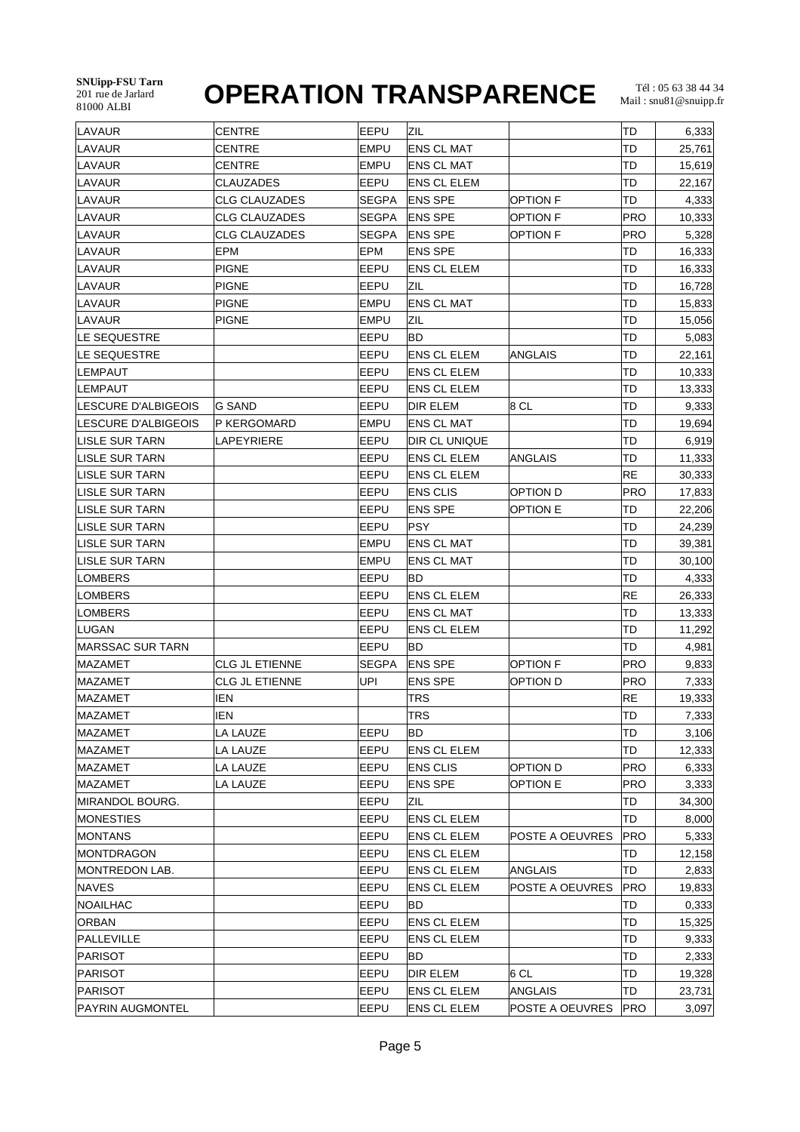**SNUipp-FSU Tarn** 201 rue de Jarlard

## **OPERATION TRANSPARENCE**

| LAVAUR                     | <b>CENTRE</b>        | EEPU         | ZIL                |                 | TD         | 6,333  |
|----------------------------|----------------------|--------------|--------------------|-----------------|------------|--------|
| LAVAUR                     | <b>CENTRE</b>        | <b>EMPU</b>  | <b>ENS CL MAT</b>  |                 | TD         | 25,761 |
| LAVAUR                     | <b>CENTRE</b>        | <b>EMPU</b>  | ENS CL MAT         |                 | TD         | 15,619 |
| LAVAUR                     | CLAUZADES            | EEPU         | ENS CL ELEM        |                 | TD         | 22,167 |
| LAVAUR                     | <b>CLG CLAUZADES</b> | SEGPA        | <b>ENS SPE</b>     | <b>OPTION F</b> | TD         | 4,333  |
| LAVAUR                     | <b>CLG CLAUZADES</b> | <b>SEGPA</b> | <b>ENS SPE</b>     | <b>OPTION F</b> | PRO        | 10,333 |
| LAVAUR                     | <b>CLG CLAUZADES</b> | SEGPA        | <b>ENS SPE</b>     | OPTION F        | PRO        | 5,328  |
| LAVAUR                     | <b>EPM</b>           | EPM          | <b>ENS SPE</b>     |                 | TD         | 16,333 |
| LAVAUR                     | <b>PIGNE</b>         | EEPU         | <b>ENS CL ELEM</b> |                 | TD         | 16,333 |
| LAVAUR                     | <b>PIGNE</b>         | EEPU         | ZIL                |                 | TD         | 16,728 |
| LAVAUR                     | <b>PIGNE</b>         | EMPU         | <b>ENS CL MAT</b>  |                 | TD         | 15,833 |
| LAVAUR                     | <b>PIGNE</b>         | EMPU         | ZIL                |                 | TD         | 15,056 |
| LE SEQUESTRE               |                      | EEPU         | <b>BD</b>          |                 | TD         | 5,083  |
| LE SEQUESTRE               |                      | EEPU         | <b>ENS CL ELEM</b> | ANGLAIS         | TD         | 22,161 |
| LEMPAUT                    |                      | EEPU         | <b>ENS CL ELEM</b> |                 | TD         | 10,333 |
| LEMPAUT                    |                      | EEPU         | <b>ENS CL ELEM</b> |                 | TD         | 13,333 |
| LESCURE D'ALBIGEOIS        | G SAND               | EEPU         | DIR ELEM           | 8 CL            | TD         | 9,333  |
| <b>LESCURE D'ALBIGEOIS</b> | P KERGOMARD          | EMPU         | <b>ENS CL MAT</b>  |                 | TD         | 19,694 |
| LISLE SUR TARN             | LAPEYRIERE           | EEPU         | DIR CL UNIQUE      |                 | TD         | 6,919  |
| <b>LISLE SUR TARN</b>      |                      | EEPU         | <b>ENS CL ELEM</b> | ANGLAIS         | TD         | 11,333 |
| LISLE SUR TARN             |                      | EEPU         | <b>ENS CL ELEM</b> |                 | RE         | 30,333 |
| <b>LISLE SUR TARN</b>      |                      | EEPU         | <b>ENS CLIS</b>    | OPTION D        | <b>PRO</b> | 17,833 |
| <b>LISLE SUR TARN</b>      |                      | EEPU         | <b>ENS SPE</b>     | <b>OPTION E</b> | TD         | 22,206 |
| LISLE SUR TARN             |                      | EEPU         | <b>PSY</b>         |                 | TD         | 24,239 |
| LISLE SUR TARN             |                      | <b>EMPU</b>  | ENS CL MAT         |                 | TD         | 39,381 |
| LISLE SUR TARN             |                      | EMPU         | <b>ENS CL MAT</b>  |                 | TD         | 30,100 |
| ∣LOMBERS                   |                      | EEPU         | BD                 |                 | TD         | 4,333  |
| ∣LOMBERS                   |                      | EEPU         | <b>ENS CL ELEM</b> |                 | RE         | 26,333 |
| LOMBERS                    |                      | EEPU         | <b>ENS CL MAT</b>  |                 | TD         | 13,333 |
| LUGAN                      |                      | EEPU         | <b>ENS CL ELEM</b> |                 | TD         | 11,292 |
| MARSSAC SUR TARN           |                      | EEPU         | BD                 |                 | TD         | 4,981  |
| MAZAMET                    | CLG JL ETIENNE       | SEGPA        | ENS SPE            | <b>OPTION F</b> | PRO        | 9,833  |
| <b>MAZAMET</b>             | CLG JL ETIENNE       | <b>UPI</b>   | <b>ENS SPE</b>     | OPTION D        | PRO        | 7,333  |
| <b>MAZAMET</b>             | <b>IEN</b>           |              | TRS                |                 | RE         | 19,333 |
| <b>MAZAMET</b>             | <b>IEN</b>           |              | TRS                |                 | TD         | 7,333  |
| <b>MAZAMET</b>             | LA LAUZE             | EEPU         | BD                 |                 | TD         | 3,106  |
| <b>MAZAMET</b>             | LA LAUZE             | EEPU         | <b>ENS CL ELEM</b> |                 | TD         | 12,333 |
| <b>MAZAMET</b>             | LA LAUZE             | EEPU         | <b>ENS CLIS</b>    | OPTION D        | PRO        | 6,333  |
| <b>MAZAMET</b>             | LA LAUZE             | EEPU         | <b>ENS SPE</b>     | OPTION E        | PRO        | 3,333  |
| MIRANDOL BOURG.            |                      | EEPU         | ZIL                |                 | TD         | 34,300 |
| <b>MONESTIES</b>           |                      | EEPU         | <b>ENS CL ELEM</b> |                 | TD         | 8,000  |
| MONTANS                    |                      | EEPU         | <b>ENS CL ELEM</b> | POSTE A OEUVRES | PRO        | 5,333  |
| MONTDRAGON                 |                      | EEPU         | <b>ENS CL ELEM</b> |                 | TD         | 12,158 |
| MONTREDON LAB.             |                      | EEPU         | <b>ENS CL ELEM</b> | ANGLAIS         | TD         | 2,833  |
| <b>NAVES</b>               |                      | EEPU         | <b>ENS CL ELEM</b> | POSTE A OEUVRES | PRO        | 19,833 |
| NOAILHAC                   |                      | EEPU         | BD                 |                 | TD         | 0,333  |
| <b>ORBAN</b>               |                      | EEPU         | ENS CL ELEM        |                 | TD         | 15,325 |
| PALLEVILLE                 |                      | EEPU         | <b>ENS CL ELEM</b> |                 | TD         | 9,333  |
| PARISOT                    |                      | EEPU         | BD                 |                 | TD         | 2,333  |
| PARISOT                    |                      | EEPU         | <b>DIR ELEM</b>    | 6 CL            | TD         | 19,328 |
| PARISOT                    |                      | EEPU         | <b>ENS CL ELEM</b> | ANGLAIS         | TD         | 23,731 |
| <b>PAYRIN AUGMONTEL</b>    |                      | EEPU         | <b>ENS CL ELEM</b> | POSTE A OEUVRES | PRO        | 3,097  |
|                            |                      |              |                    |                 |            |        |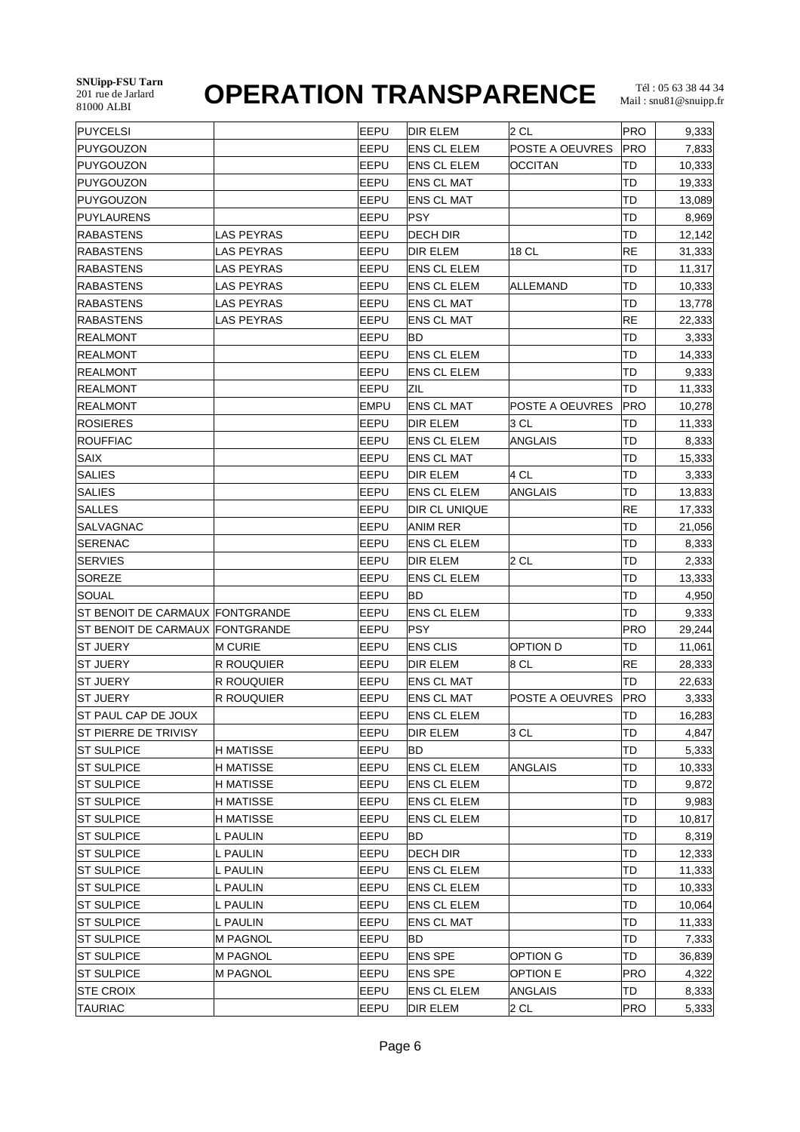| PUYCELSI                        |                   | EEPU        | <b>DIR ELEM</b>    | $2$ CL          | <b>PRO</b> | 9,333  |
|---------------------------------|-------------------|-------------|--------------------|-----------------|------------|--------|
| <b>PUYGOUZON</b>                |                   | EEPU        | ENS CL ELEM        | POSTE A OEUVRES | PRO        | 7,833  |
| <b>PUYGOUZON</b>                |                   | EEPU        | <b>ENS CL ELEM</b> | OCCITAN         | TD         | 10,333 |
| PUYGOUZON                       |                   | EEPU        | <b>ENS CL MAT</b>  |                 | TD         | 19,333 |
| <b>PUYGOUZON</b>                |                   | EEPU        | ENS CL MAT         |                 | TD         | 13,089 |
| <b>PUYLAURENS</b>               |                   | EEPU        | <b>PSY</b>         |                 | TD         | 8,969  |
| <b>RABASTENS</b>                | LAS PEYRAS        | EEPU        | DECH DIR           |                 | TD         | 12,142 |
| <b>RABASTENS</b>                | LAS PEYRAS        | EEPU        | <b>DIR ELEM</b>    | 18 CL           | <b>RE</b>  | 31,333 |
| <b>RABASTENS</b>                | LAS PEYRAS        | EEPU        | <b>ENS CL ELEM</b> |                 | TD         | 11,317 |
| RABASTENS                       | LAS PEYRAS        | EEPU        | ENS CL ELEM        | ALLEMAND        | TD         | 10,333 |
| <b>RABASTENS</b>                | LAS PEYRAS        | EEPU        | <b>ENS CL MAT</b>  |                 | TD         | 13,778 |
| <b>RABASTENS</b>                | LAS PEYRAS        | EEPU        | <b>ENS CL MAT</b>  |                 | <b>RE</b>  | 22,333 |
| <b>REALMONT</b>                 |                   | EEPU        | BD                 |                 | TD         | 3,333  |
| <b>REALMONT</b>                 |                   | EEPU        | <b>ENS CL ELEM</b> |                 | TD         | 14,333 |
| <b>REALMONT</b>                 |                   | EEPU        | <b>ENS CL ELEM</b> |                 | TD         | 9,333  |
| <b>REALMONT</b>                 |                   | EEPU        | ZIL                |                 | TD         | 11,333 |
| <b>REALMONT</b>                 |                   | <b>EMPU</b> | <b>ENS CL MAT</b>  | POSTE A OEUVRES | PRO        | 10,278 |
| <b>ROSIERES</b>                 |                   | EEPU        | DIR ELEM           | 3 CL            | TD         | 11,333 |
| <b>ROUFFIAC</b>                 |                   | EEPU        | <b>ENS CL ELEM</b> | <b>ANGLAIS</b>  | TD         | 8,333  |
| <b>SAIX</b>                     |                   | EEPU        | <b>ENS CL MAT</b>  |                 | TD         | 15,333 |
| <b>SALIES</b>                   |                   | EEPU        | DIR ELEM           | 4 CL            | TD         | 3,333  |
| <b>SALIES</b>                   |                   | EEPU        | <b>ENS CL ELEM</b> | ANGLAIS         | TD         | 13,833 |
| <b>SALLES</b>                   |                   | EEPU        | DIR CL UNIQUE      |                 | <b>RE</b>  | 17,333 |
| SALVAGNAC                       |                   | EEPU        | <b>ANIM RER</b>    |                 | TD         | 21,056 |
| SERENAC                         |                   | EEPU        | <b>ENS CL ELEM</b> |                 | TD         | 8,333  |
| <b>SERVIES</b>                  |                   | EEPU        | DIR ELEM           | 2 CL            | TD         | 2,333  |
| <b>SOREZE</b>                   |                   | EEPU        | <b>ENS CL ELEM</b> |                 | TD         | 13,333 |
| SOUAL                           |                   | EEPU        | BD                 |                 | TD         | 4,950  |
| ST BENOIT DE CARMAUX FONTGRANDE |                   | EEPU        | ENS CL ELEM        |                 | TD         | 9,333  |
| ST BENOIT DE CARMAUX FONTGRANDE |                   | EEPU        | <b>PSY</b>         |                 | PRO        | 29,244 |
| <b>ST JUERY</b>                 | <b>M CURIE</b>    | EEPU        | <b>ENS CLIS</b>    | <b>OPTION D</b> | TD         | 11,061 |
| <b>ST JUERY</b>                 | <b>R ROUQUIER</b> | EEPU        | <b>DIR ELEM</b>    | 8 CL            | <b>RE</b>  | 28,333 |
| <b>ST JUERY</b>                 | <b>R ROUQUIER</b> | EEPU        | <b>ENS CL MAT</b>  |                 | TD         | 22,633 |
| <b>ST JUERY</b>                 | R ROUQUIER        | EEPU        | <b>ENS CL MAT</b>  | POSTE A OEUVRES | <b>PRO</b> | 3,333  |
| ST PAUL CAP DE JOUX             |                   | EEPU        | ENS CL ELEM        |                 | TD         | 16,283 |
| <b>ST PIERRE DE TRIVISY</b>     |                   | EEPU        | DIR ELEM           | 3 CL            | TD         | 4,847  |
| <b>ST SULPICE</b>               | H MATISSE         | EEPU        | BD                 |                 | TD         | 5,333  |
| <b>ST SULPICE</b>               | H MATISSE         | EEPU        | <b>ENS CL ELEM</b> | ANGLAIS         | TD         | 10,333 |
| <b>ST SULPICE</b>               | <b>H MATISSE</b>  | EEPU        | <b>ENS CL ELEM</b> |                 | TD         | 9,872  |
| <b>ST SULPICE</b>               | H MATISSE         | EEPU        | <b>ENS CL ELEM</b> |                 | TD         | 9,983  |
| <b>ST SULPICE</b>               | H MATISSE         | EEPU        | <b>ENS CL ELEM</b> |                 | TD         | 10,817 |
| <b>ST SULPICE</b>               | L PAULIN          | EEPU        | BD                 |                 | TD         | 8,319  |
| <b>ST SULPICE</b>               | L PAULIN          | EEPU        | DECH DIR           |                 | TD         | 12,333 |
| <b>ST SULPICE</b>               | L PAULIN          | EEPU        | <b>ENS CL ELEM</b> |                 | TD         | 11,333 |
| <b>ST SULPICE</b>               | L PAULIN          | EEPU        | <b>ENS CL ELEM</b> |                 | TD         | 10,333 |
| <b>ST SULPICE</b>               | L PAULIN          | EEPU        | <b>ENS CL ELEM</b> |                 | TD         | 10,064 |
| <b>ST SULPICE</b>               | L PAULIN          | EEPU        | <b>ENS CL MAT</b>  |                 | TD         | 11,333 |
| <b>ST SULPICE</b>               | <b>M PAGNOL</b>   | EEPU        | BD                 |                 | TD         | 7,333  |
| <b>ST SULPICE</b>               | <b>M PAGNOL</b>   | EEPU        | <b>ENS SPE</b>     | <b>OPTION G</b> | TD         | 36,839 |
| <b>ST SULPICE</b>               | <b>M PAGNOL</b>   | EEPU        | <b>ENS SPE</b>     | <b>OPTION E</b> | <b>PRO</b> | 4,322  |
| <b>STE CROIX</b>                |                   | EEPU        | ENS CL ELEM        | ANGLAIS         | TD         | 8,333  |
| <b>TAURIAC</b>                  |                   | <b>EEPU</b> | DIR ELEM           | $2$ CL          | PRO        | 5,333  |
|                                 |                   |             |                    |                 |            |        |